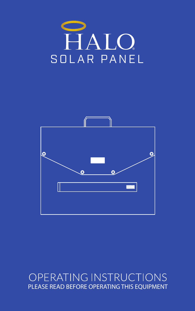



## OPERATING INSTRUCTIONS PLEASE READ BEFORE OPERATING THIS EQUIPMENT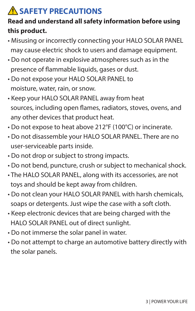# **A SAFETY PRECAUTIONS**

#### **Read and understand all safety information before using this product.**

- Misusing or incorrectly connecting your HALO SOLAR PANEL may cause electric shock to users and damage equipment.
- Do not operate in explosive atmospheres such as in the presence of flammable liquids, gases or dust.
- Do not expose your HALO SOLAR PANEL to moisture, water, rain, or snow.
- Keep your HALO SOLAR PANEL away from heat sources, including open flames, radiators, stoves, ovens, and any other devices that product heat.
- Do not expose to heat above 212°F (100°C) or incinerate.
- Do not disassemble your HALO SOLAR PANEL. There are no user-serviceable parts inside.
- Do not drop or subject to strong impacts.
- Do not bend, puncture, crush or subject to mechanical shock.
- The HALO SOLAR PANEL, along with its accessories, are not toys and should be kept away from children.
- Do not clean your HALO SOLAR PANEL with harsh chemicals, soaps or detergents. Just wipe the case with a soft cloth.
- Keep electronic devices that are being charged with the HALO SOLAR PANEL out of direct sunlight.
- Do not immerse the solar panel in water.
- Do not attempt to charge an automotive battery directly with the solar panels.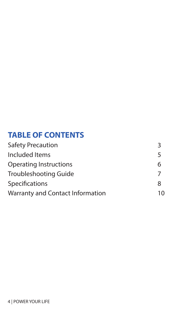#### **TABLE OF CONTENTS**

| <b>Safety Precaution</b>         |    |
|----------------------------------|----|
| Included Items                   | 5  |
| Operating Instructions           | 6  |
| Troubleshooting Guide            |    |
| Specifications                   | 8  |
| Warranty and Contact Information | 10 |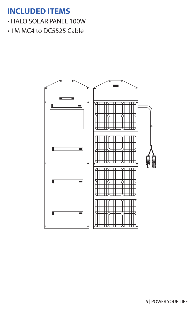#### **INCLUDED ITEMS**

- HALO SOLAR PANEL 100W
- 1M MC4 to DC5525 Cable

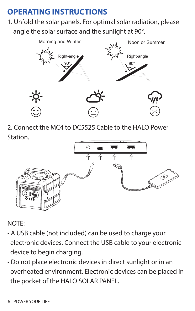# **OPERATING INSTRUCTIONS**

1. Unfold the solar panels. For optimal solar radiation, please angle the solar surface and the sunlight at 90°.



2. Connect the MC4 to DC5525 Cable to the HALO Power Station.



NOTE:

- A USB cable (not included) can be used to charge your electronic devices. Connect the USB cable to your electronic device to begin charging.
- Do not place electronic devices in direct sunlight or in an overheated environment. Electronic devices can be placed in the pocket of the HALO SOLAR PANEL.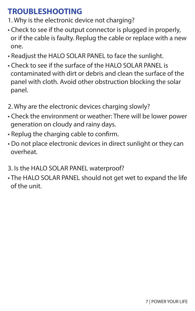## **TROUBLESHOOTING**

- 1. Why is the electronic device not charging?
- Check to see if the output connector is plugged in properly, or if the cable is faulty. Replug the cable or replace with a new one.
- Readjust the HALO SOLAR PANEL to face the sunlight.
- Check to see if the surface of the HALO SOLAR PANEL is contaminated with dirt or debris and clean the surface of the panel with cloth. Avoid other obstruction blocking the solar panel.
- 2. Why are the electronic devices charging slowly?
- Check the environment or weather: There will be lower power generation on cloudy and rainy days.
- Replug the charging cable to confirm.
- Do not place electronic devices in direct sunlight or they can overheat.
- 3. Is the HALO SOLAR PANEL waterproof?
- The HALO SOLAR PANEL should not get wet to expand the life of the unit.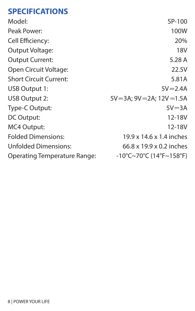### **SPECIFICATIONS**

| Model:                        | SP-100                            |
|-------------------------------|-----------------------------------|
| Peak Power:                   | 100W                              |
| Cell Efficiency:              | 20%                               |
| Output Voltage:               | 18V                               |
| <b>Output Current:</b>        | 5.28 A                            |
| Open Circuit Voltage:         | 22.5V                             |
| <b>Short Circuit Current:</b> | 5.81A                             |
| USB Output 1:                 | $5V = 2.4A$                       |
| USB Output 2:                 | 5V=3A; 9V=2A; 12V=1.5A            |
| Type-C Output:                | $5V = 3A$                         |
| DC Output:                    | 12-18V                            |
| MC4 Output:                   | 12-18V                            |
| <b>Folded Dimensions:</b>     | 19.9 x 14.6 x 1.4 inches          |
| <b>Unfolded Dimensions:</b>   | 66.8 x 19.9 x 0.2 inches          |
| Operating Temperature Range:  | $-10^{\circ}$ C~70°C (14°F~158°F) |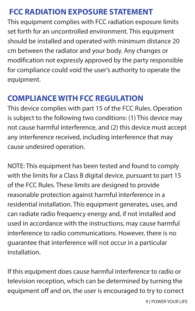### **FCC RADIATION EXPOSURE STATEMENT**

This equipment complies with FCC radiation exposure limits set forth for an uncontrolled environment. This equipment should be installed and operated with minimum distance 20 cm between the radiator and your body. Any changes or modification not expressly approved by the party responsible for compliance could void the user's authority to operate the equipment.

# **COMPLIANCE WITH ECC REGULATION**

This device complies with part 15 of the FCC Rules. Operation is subject to the following two conditions: (1) This device may not cause harmful interference, and (2) this device must accept any interference received, including interference that may cause undesired operation.

NOTE: This equipment has been tested and found to comply with the limits for a Class B digital device, pursuant to part 15 of the FCC Rules. These limits are designed to provide reasonable protection against harmful interference in a residential installation. This equipment generates, uses, and can radiate radio frequency energy and, if not installed and used in accordance with the instructions, may cause harmful interference to radio communications. However, there is no guarantee that interference will not occur in a particular installation.

If this equipment does cause harmful interference to radio or television reception, which can be determined by turning the equipment off and on, the user is encouraged to try to correct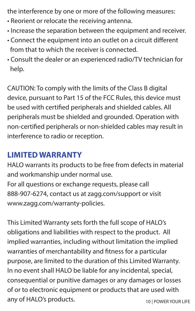the interference by one or more of the following measures:

- Reorient or relocate the receiving antenna.
- Increase the separation between the equipment and receiver.
- Connect the equipment into an outlet on a circuit different from that to which the receiver is connected.
- Consult the dealer or an experienced radio/TV technician for help.

CAUTION: To comply with the limits of the Class B digital device, pursuant to Part 15 of the FCC Rules, this device must be used with certified peripherals and shielded cables. All peripherals must be shielded and grounded. Operation with non-certified peripherals or non-shielded cables may result in interference to radio or reception.

#### **LIMITED WARRANTY**

HALO warrants its products to be free from defects in material and workmanship under normal use.

For all questions or exchange requests, please call 888-907-6274, contact us at zagg.com/support or visit www.zagg.com/warranty-policies.

This Limited Warranty sets forth the full scope of HALO's obligations and liabilities with respect to the product. All implied warranties, including without limitation the implied warranties of merchantability and fitness for a particular purpose, are limited to the duration of this Limited Warranty. In no event shall HALO be liable for any incidental, special, consequential or punitive damages or any damages or losses of or to electronic equipment or products that are used with any of HALO's products. 10 | POWER YOUR LIFE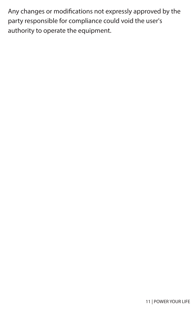Any changes or modifications not expressly approved by the party responsible for compliance could void the user's authority to operate the equipment.